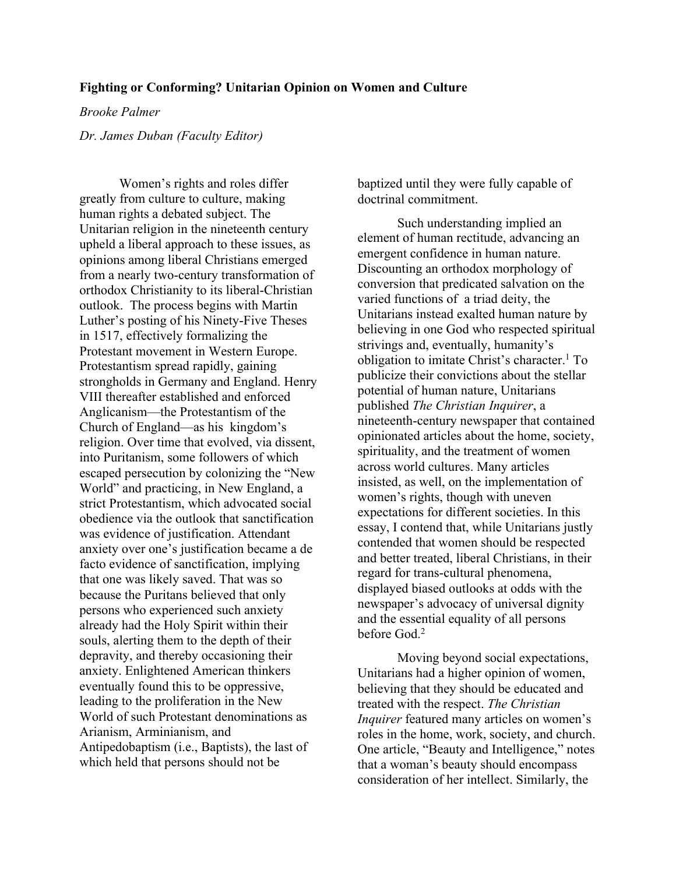## **Fighting or Conforming? Unitarian Opinion on Women and Culture**

## *Brooke Palmer*

*Dr. James Duban (Faculty Editor)*

Women's rights and roles differ greatly from culture to culture, making human rights a debated subject. The Unitarian religion in the nineteenth century upheld a liberal approach to these issues, as opinions among liberal Christians emerged from a nearly two-century transformation of orthodox Christianity to its liberal-Christian outlook. The process begins with Martin Luther's posting of his Ninety-Five Theses in 1517, effectively formalizing the Protestant movement in Western Europe. Protestantism spread rapidly, gaining strongholds in Germany and England. Henry VIII thereafter established and enforced Anglicanism—the Protestantism of the Church of England—as his kingdom's religion. Over time that evolved, via dissent, into Puritanism, some followers of which escaped persecution by colonizing the "New World" and practicing, in New England, a strict Protestantism, which advocated social obedience via the outlook that sanctification was evidence of justification. Attendant anxiety over one's justification became a de facto evidence of sanctification, implying that one was likely saved. That was so because the Puritans believed that only persons who experienced such anxiety already had the Holy Spirit within their souls, alerting them to the depth of their depravity, and thereby occasioning their anxiety. Enlightened American thinkers eventually found this to be oppressive, leading to the proliferation in the New World of such Protestant denominations as Arianism, Arminianism, and Antipedobaptism (i.e., Baptists), the last of which held that persons should not be

baptized until they were fully capable of doctrinal commitment.

Such understanding implied an element of human rectitude, advancing an emergent confidence in human nature. Discounting an orthodox morphology of conversion that predicated salvation on the varied functions of a triad deity, the Unitarians instead exalted human nature by believing in one God who respected spiritual strivings and, eventually, humanity's obligation to imitate Christ's character.<sup>1</sup> To publicize their convictions about the stellar potential of human nature, Unitarians published *The Christian Inquirer*, a nineteenth-century newspaper that contained opinionated articles about the home, society, spirituality, and the treatment of women across world cultures. Many articles insisted, as well, on the implementation of women's rights, though with uneven expectations for different societies. In this essay, I contend that, while Unitarians justly contended that women should be respected and better treated, liberal Christians, in their regard for trans-cultural phenomena, displayed biased outlooks at odds with the newspaper's advocacy of universal dignity and the essential equality of all persons before God.<sup>2</sup>

Moving beyond social expectations, Unitarians had a higher opinion of women, believing that they should be educated and treated with the respect. *The Christian Inquirer* featured many articles on women's roles in the home, work, society, and church. One article, "Beauty and Intelligence," notes that a woman's beauty should encompass consideration of her intellect. Similarly, the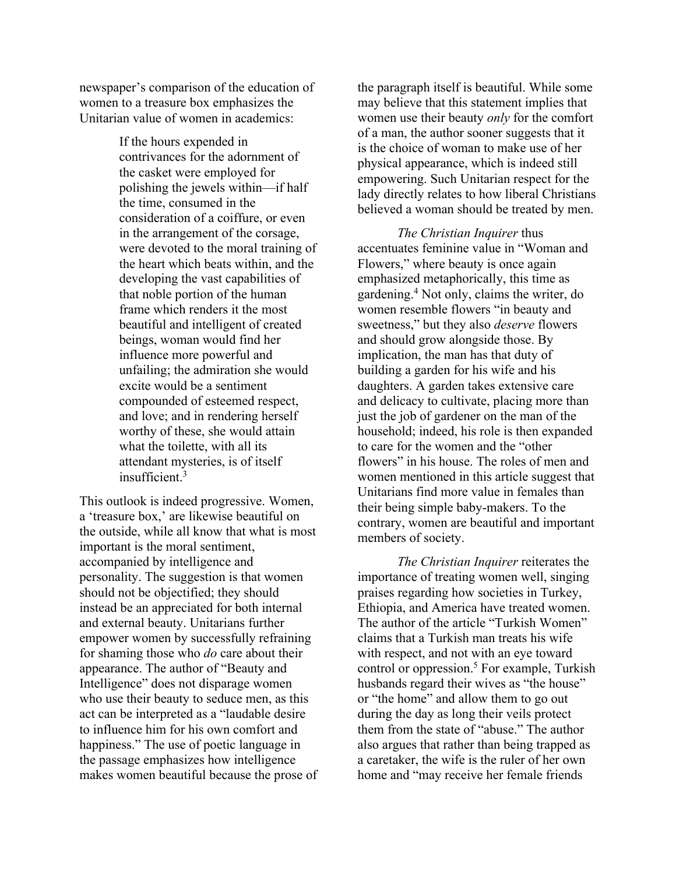newspaper's comparison of the education of women to a treasure box emphasizes the Unitarian value of women in academics:

> If the hours expended in contrivances for the adornment of the casket were employed for polishing the jewels within—if half the time, consumed in the consideration of a coiffure, or even in the arrangement of the corsage, were devoted to the moral training of the heart which beats within, and the developing the vast capabilities of that noble portion of the human frame which renders it the most beautiful and intelligent of created beings, woman would find her influence more powerful and unfailing; the admiration she would excite would be a sentiment compounded of esteemed respect, and love; and in rendering herself worthy of these, she would attain what the toilette, with all its attendant mysteries, is of itself insufficient. 3

This outlook is indeed progressive. Women, a 'treasure box,' are likewise beautiful on the outside, while all know that what is most important is the moral sentiment, accompanied by intelligence and personality. The suggestion is that women should not be objectified; they should instead be an appreciated for both internal and external beauty. Unitarians further empower women by successfully refraining for shaming those who *do* care about their appearance. The author of "Beauty and Intelligence" does not disparage women who use their beauty to seduce men, as this act can be interpreted as a "laudable desire to influence him for his own comfort and happiness." The use of poetic language in the passage emphasizes how intelligence makes women beautiful because the prose of the paragraph itself is beautiful. While some may believe that this statement implies that women use their beauty *only* for the comfort of a man, the author sooner suggests that it is the choice of woman to make use of her physical appearance, which is indeed still empowering. Such Unitarian respect for the lady directly relates to how liberal Christians believed a woman should be treated by men.

*The Christian Inquirer* thus accentuates feminine value in "Woman and Flowers," where beauty is once again emphasized metaphorically, this time as gardening.4 Not only, claims the writer, do women resemble flowers "in beauty and sweetness," but they also *deserve* flowers and should grow alongside those. By implication, the man has that duty of building a garden for his wife and his daughters. A garden takes extensive care and delicacy to cultivate, placing more than just the job of gardener on the man of the household; indeed, his role is then expanded to care for the women and the "other flowers" in his house. The roles of men and women mentioned in this article suggest that Unitarians find more value in females than their being simple baby-makers. To the contrary, women are beautiful and important members of society.

*The Christian Inquirer* reiterates the importance of treating women well, singing praises regarding how societies in Turkey, Ethiopia, and America have treated women. The author of the article "Turkish Women" claims that a Turkish man treats his wife with respect, and not with an eye toward control or oppression.<sup>5</sup> For example, Turkish husbands regard their wives as "the house" or "the home" and allow them to go out during the day as long their veils protect them from the state of "abuse." The author also argues that rather than being trapped as a caretaker, the wife is the ruler of her own home and "may receive her female friends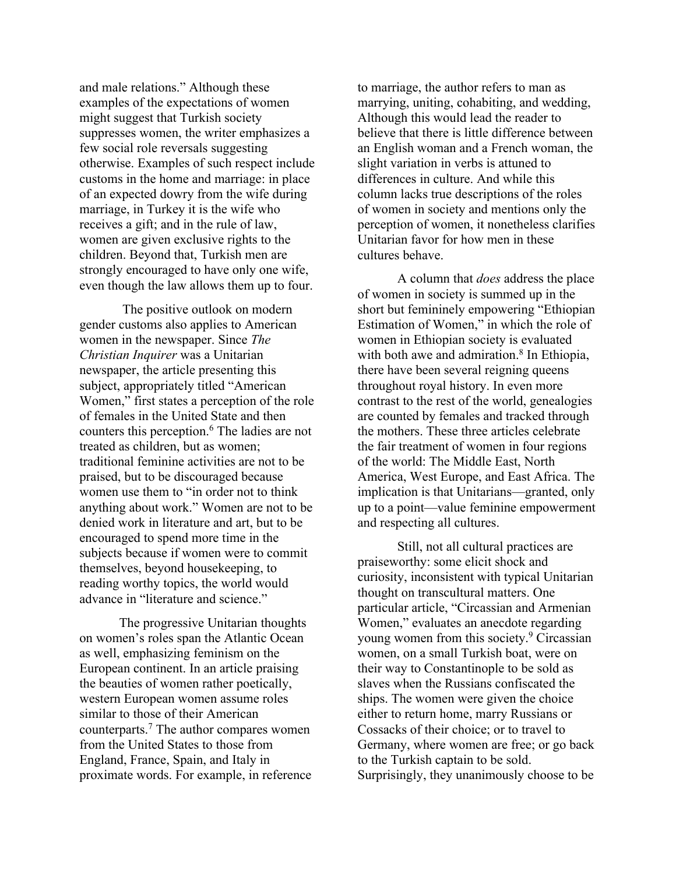and male relations." Although these examples of the expectations of women might suggest that Turkish society suppresses women, the writer emphasizes a few social role reversals suggesting otherwise. Examples of such respect include customs in the home and marriage: in place of an expected dowry from the wife during marriage, in Turkey it is the wife who receives a gift; and in the rule of law, women are given exclusive rights to the children. Beyond that, Turkish men are strongly encouraged to have only one wife, even though the law allows them up to four.

The positive outlook on modern gender customs also applies to American women in the newspaper. Since *The Christian Inquirer* was a Unitarian newspaper, the article presenting this subject, appropriately titled "American Women," first states a perception of the role of females in the United State and then counters this perception.6 The ladies are not treated as children, but as women; traditional feminine activities are not to be praised, but to be discouraged because women use them to "in order not to think anything about work." Women are not to be denied work in literature and art, but to be encouraged to spend more time in the subjects because if women were to commit themselves, beyond housekeeping, to reading worthy topics, the world would advance in "literature and science."

The progressive Unitarian thoughts on women's roles span the Atlantic Ocean as well, emphasizing feminism on the European continent. In an article praising the beauties of women rather poetically, western European women assume roles similar to those of their American counterparts.7 The author compares women from the United States to those from England, France, Spain, and Italy in proximate words. For example, in reference to marriage, the author refers to man as marrying, uniting, cohabiting, and wedding, Although this would lead the reader to believe that there is little difference between an English woman and a French woman, the slight variation in verbs is attuned to differences in culture. And while this column lacks true descriptions of the roles of women in society and mentions only the perception of women, it nonetheless clarifies Unitarian favor for how men in these cultures behave.

A column that *does* address the place of women in society is summed up in the short but femininely empowering "Ethiopian Estimation of Women," in which the role of women in Ethiopian society is evaluated with both awe and admiration.<sup>8</sup> In Ethiopia, there have been several reigning queens throughout royal history. In even more contrast to the rest of the world, genealogies are counted by females and tracked through the mothers. These three articles celebrate the fair treatment of women in four regions of the world: The Middle East, North America, West Europe, and East Africa. The implication is that Unitarians—granted, only up to a point—value feminine empowerment and respecting all cultures.

Still, not all cultural practices are praiseworthy: some elicit shock and curiosity, inconsistent with typical Unitarian thought on transcultural matters. One particular article, "Circassian and Armenian Women," evaluates an anecdote regarding young women from this society.9 Circassian women, on a small Turkish boat, were on their way to Constantinople to be sold as slaves when the Russians confiscated the ships. The women were given the choice either to return home, marry Russians or Cossacks of their choice; or to travel to Germany, where women are free; or go back to the Turkish captain to be sold. Surprisingly, they unanimously choose to be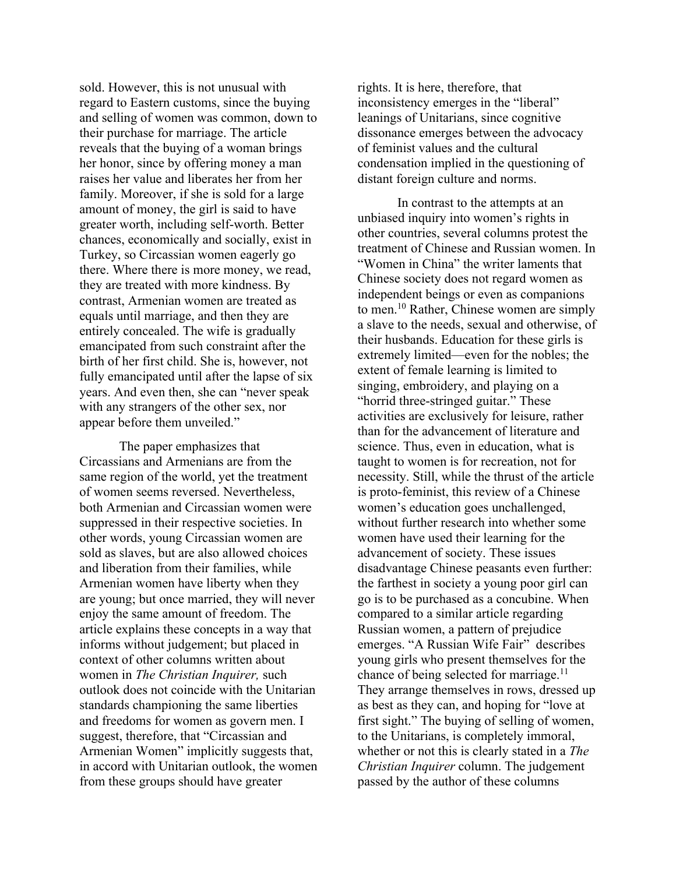sold. However, this is not unusual with regard to Eastern customs, since the buying and selling of women was common, down to their purchase for marriage. The article reveals that the buying of a woman brings her honor, since by offering money a man raises her value and liberates her from her family. Moreover, if she is sold for a large amount of money, the girl is said to have greater worth, including self-worth. Better chances, economically and socially, exist in Turkey, so Circassian women eagerly go there. Where there is more money, we read, they are treated with more kindness. By contrast, Armenian women are treated as equals until marriage, and then they are entirely concealed. The wife is gradually emancipated from such constraint after the birth of her first child. She is, however, not fully emancipated until after the lapse of six years. And even then, she can "never speak with any strangers of the other sex, nor appear before them unveiled."

The paper emphasizes that Circassians and Armenians are from the same region of the world, yet the treatment of women seems reversed. Nevertheless, both Armenian and Circassian women were suppressed in their respective societies. In other words, young Circassian women are sold as slaves, but are also allowed choices and liberation from their families, while Armenian women have liberty when they are young; but once married, they will never enjoy the same amount of freedom. The article explains these concepts in a way that informs without judgement; but placed in context of other columns written about women in *The Christian Inquirer,* such outlook does not coincide with the Unitarian standards championing the same liberties and freedoms for women as govern men. I suggest, therefore, that "Circassian and Armenian Women" implicitly suggests that, in accord with Unitarian outlook, the women from these groups should have greater

rights. It is here, therefore, that inconsistency emerges in the "liberal" leanings of Unitarians, since cognitive dissonance emerges between the advocacy of feminist values and the cultural condensation implied in the questioning of distant foreign culture and norms.

In contrast to the attempts at an unbiased inquiry into women's rights in other countries, several columns protest the treatment of Chinese and Russian women. In "Women in China" the writer laments that Chinese society does not regard women as independent beings or even as companions to men.10 Rather, Chinese women are simply a slave to the needs, sexual and otherwise, of their husbands. Education for these girls is extremely limited—even for the nobles; the extent of female learning is limited to singing, embroidery, and playing on a "horrid three-stringed guitar." These activities are exclusively for leisure, rather than for the advancement of literature and science. Thus, even in education, what is taught to women is for recreation, not for necessity. Still, while the thrust of the article is proto-feminist, this review of a Chinese women's education goes unchallenged, without further research into whether some women have used their learning for the advancement of society. These issues disadvantage Chinese peasants even further: the farthest in society a young poor girl can go is to be purchased as a concubine. When compared to a similar article regarding Russian women, a pattern of prejudice emerges. "A Russian Wife Fair" describes young girls who present themselves for the chance of being selected for marriage.<sup>11</sup> They arrange themselves in rows, dressed up as best as they can, and hoping for "love at first sight." The buying of selling of women, to the Unitarians, is completely immoral, whether or not this is clearly stated in a *The Christian Inquirer* column. The judgement passed by the author of these columns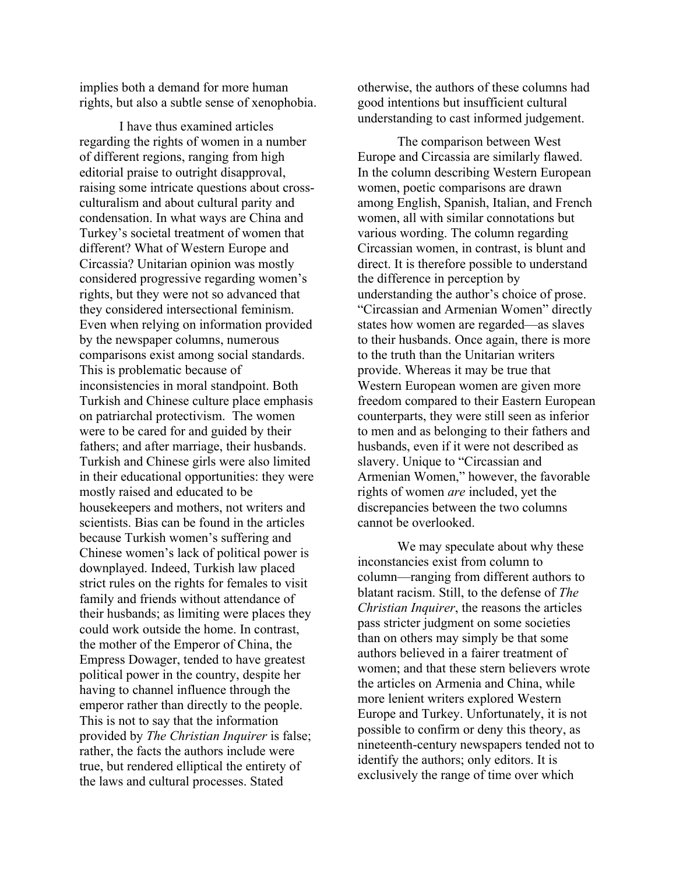implies both a demand for more human rights, but also a subtle sense of xenophobia.

I have thus examined articles regarding the rights of women in a number of different regions, ranging from high editorial praise to outright disapproval, raising some intricate questions about crossculturalism and about cultural parity and condensation. In what ways are China and Turkey's societal treatment of women that different? What of Western Europe and Circassia? Unitarian opinion was mostly considered progressive regarding women's rights, but they were not so advanced that they considered intersectional feminism. Even when relying on information provided by the newspaper columns, numerous comparisons exist among social standards. This is problematic because of inconsistencies in moral standpoint. Both Turkish and Chinese culture place emphasis on patriarchal protectivism. The women were to be cared for and guided by their fathers; and after marriage, their husbands. Turkish and Chinese girls were also limited in their educational opportunities: they were mostly raised and educated to be housekeepers and mothers, not writers and scientists. Bias can be found in the articles because Turkish women's suffering and Chinese women's lack of political power is downplayed. Indeed, Turkish law placed strict rules on the rights for females to visit family and friends without attendance of their husbands; as limiting were places they could work outside the home. In contrast, the mother of the Emperor of China, the Empress Dowager, tended to have greatest political power in the country, despite her having to channel influence through the emperor rather than directly to the people. This is not to say that the information provided by *The Christian Inquirer* is false; rather, the facts the authors include were true, but rendered elliptical the entirety of the laws and cultural processes. Stated

otherwise, the authors of these columns had good intentions but insufficient cultural understanding to cast informed judgement.

The comparison between West Europe and Circassia are similarly flawed. In the column describing Western European women, poetic comparisons are drawn among English, Spanish, Italian, and French women, all with similar connotations but various wording. The column regarding Circassian women, in contrast, is blunt and direct. It is therefore possible to understand the difference in perception by understanding the author's choice of prose. "Circassian and Armenian Women" directly states how women are regarded—as slaves to their husbands. Once again, there is more to the truth than the Unitarian writers provide. Whereas it may be true that Western European women are given more freedom compared to their Eastern European counterparts, they were still seen as inferior to men and as belonging to their fathers and husbands, even if it were not described as slavery. Unique to "Circassian and Armenian Women," however, the favorable rights of women *are* included, yet the discrepancies between the two columns cannot be overlooked.

We may speculate about why these inconstancies exist from column to column—ranging from different authors to blatant racism. Still, to the defense of *The Christian Inquirer*, the reasons the articles pass stricter judgment on some societies than on others may simply be that some authors believed in a fairer treatment of women; and that these stern believers wrote the articles on Armenia and China, while more lenient writers explored Western Europe and Turkey. Unfortunately, it is not possible to confirm or deny this theory, as nineteenth-century newspapers tended not to identify the authors; only editors. It is exclusively the range of time over which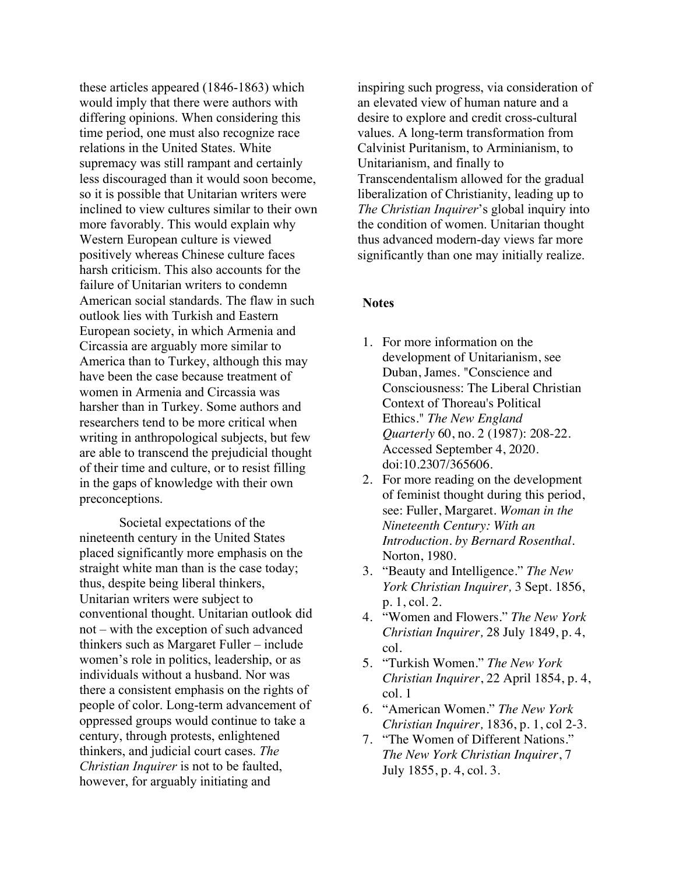these articles appeared (1846-1863) which would imply that there were authors with differing opinions. When considering this time period, one must also recognize race relations in the United States. White supremacy was still rampant and certainly less discouraged than it would soon become, so it is possible that Unitarian writers were inclined to view cultures similar to their own more favorably. This would explain why Western European culture is viewed positively whereas Chinese culture faces harsh criticism. This also accounts for the failure of Unitarian writers to condemn American social standards. The flaw in such outlook lies with Turkish and Eastern European society, in which Armenia and Circassia are arguably more similar to America than to Turkey, although this may have been the case because treatment of women in Armenia and Circassia was harsher than in Turkey. Some authors and researchers tend to be more critical when writing in anthropological subjects, but few are able to transcend the prejudicial thought of their time and culture, or to resist filling in the gaps of knowledge with their own preconceptions.

Societal expectations of the nineteenth century in the United States placed significantly more emphasis on the straight white man than is the case today; thus, despite being liberal thinkers, Unitarian writers were subject to conventional thought. Unitarian outlook did not – with the exception of such advanced thinkers such as Margaret Fuller – include women's role in politics, leadership, or as individuals without a husband. Nor was there a consistent emphasis on the rights of people of color. Long-term advancement of oppressed groups would continue to take a century, through protests, enlightened thinkers, and judicial court cases. *The Christian Inquirer* is not to be faulted, however, for arguably initiating and

inspiring such progress, via consideration of an elevated view of human nature and a desire to explore and credit cross-cultural values. A long-term transformation from Calvinist Puritanism, to Arminianism, to Unitarianism, and finally to Transcendentalism allowed for the gradual liberalization of Christianity, leading up to *The Christian Inquirer*'s global inquiry into the condition of women. Unitarian thought thus advanced modern-day views far more significantly than one may initially realize.

## **Notes**

- 1. For more information on the development of Unitarianism, see Duban, James. "Conscience and Consciousness: The Liberal Christian Context of Thoreau's Political Ethics." *The New England Quarterly* 60, no. 2 (1987): 208-22. Accessed September 4, 2020. doi:10.2307/365606.
- 2. For more reading on the development of feminist thought during this period, see: Fuller, Margaret. *Woman in the Nineteenth Century: With an Introduction. by Bernard Rosenthal*. Norton, 1980.
- 3. "Beauty and Intelligence." *The New York Christian Inquirer,* 3 Sept. 1856, p. 1, col. 2.
- 4. "Women and Flowers." *The New York Christian Inquirer,* 28 July 1849, p. 4, col.
- 5. "Turkish Women." *The New York Christian Inquirer*, 22 April 1854, p. 4, col. 1
- 6. "American Women." *The New York Christian Inquirer,* 1836, p. 1, col 2-3.
- 7. "The Women of Different Nations." *The New York Christian Inquirer*, 7 July 1855, p. 4, col. 3.